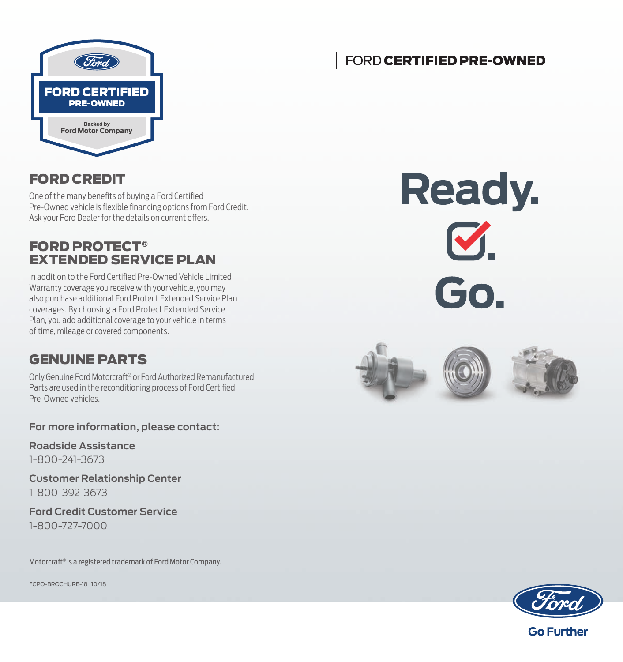

### FORD CERTIFIED PRE-OWNED

### FORD CREDIT

One of the many benefits of buying a Ford Certified Pre-Owned vehicle is flexible financing options from Ford Credit. Ask your Ford Dealer for the details on current offers.

### FORD PROTECT® EXTENDED SERVICE PLAN

In addition to the Ford Certified Pre-Owned Vehicle Limited Warranty coverage you receive with your vehicle, you may also purchase additional Ford Protect Extended Service Plan coverages. By choosing a Ford Protect Extended Service Plan, you add additional coverage to your vehicle in terms of time, mileage or covered components.

### GENUINE PARTS

Only Genuine Ford Motorcraft® or Ford Authorized Remanufactured Parts are used in the reconditioning process of Ford Certified Pre-Owned vehicles.

**For more information, please contact:**

**Roadside Assistance** 1-800-241-3673

**Customer Relationship Center** 1-800-392-3673

**Ford Credit Customer Service** 1-800-727-7000

Motorcraft® is a registered trademark of Ford Motor Company.

FCPO-BROCHURE-18 10/18

**Ready.**  $\mathbf{C}.$ Go.



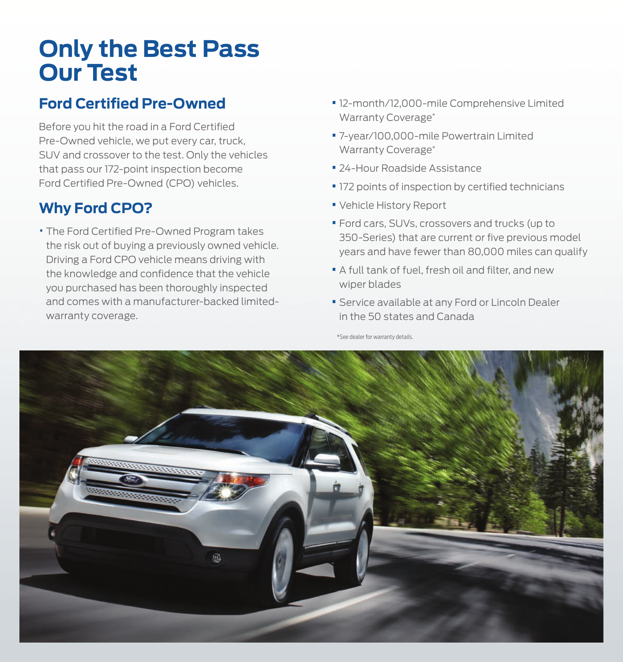## **Only the Best Pass Our Test**

## **Ford Certified Pre-Owned**

Before you hit the road in a Ford Certified Pre-Owned vehicle, we put every car, truck, SUV and crossover to the test. Only the vehicles that pass our 172-point inspection become Ford Certified Pre-Owned (CPO) vehicles.

## **Why Ford CPO?**

• The Ford Certified Pre-Owned Program takes the risk out of buying a previously owned vehicle. Driving a Ford CPO vehicle means driving with the knowledge and confidence that the vehicle you purchased has been thoroughly inspected and comes with a manufacturer-backed limitedwarranty coverage.

- **•**12-month/12,000-mile Comprehensive Limited Warranty Coverage\*
- **•** 7-year/100,000-mile Powertrain Limited Warranty Coverage\*
- **•** 24-Hour Roadside Assistance
- **•** 172 points of inspection by certified technicians
- **•** Vehicle History Report
- **•** Ford cars, SUVs, crossovers and trucks (up to 350-Series) that are current or five previous model years and have fewer than 80,000 miles can qualify
- **•** A full tank of fuel, fresh oil and filter, and new wiper blades
- **•** Service available at any Ford or Lincoln Dealer in the 50 states and Canada

\*See dealer for warranty details.

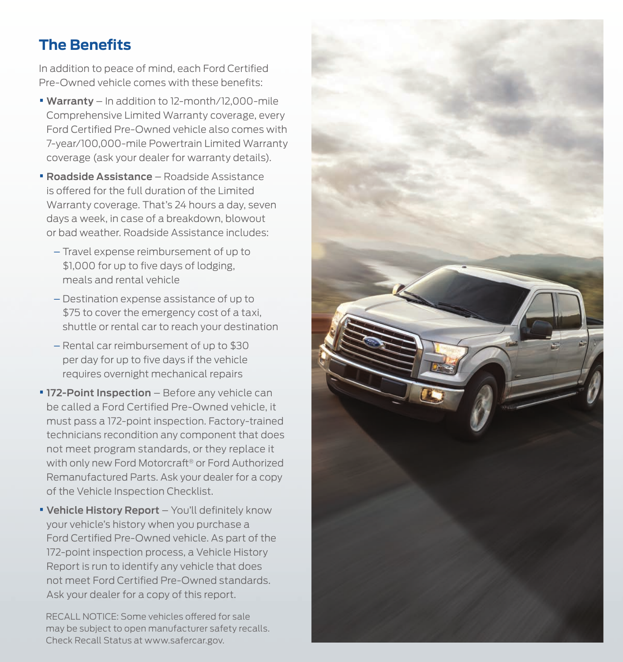## **The Benefits**

In addition to peace of mind, each Ford Certified Pre-Owned vehicle comes with these benefits:

- **• Warranty** In addition to 12-month/12,000-mile Comprehensive Limited Warranty coverage, every Ford Certified Pre-Owned vehicle also comes with 7-year/100,000-mile Powertrain Limited Warranty coverage (ask your dealer for warranty details).
- **• Roadside Assistance** Roadside Assistance is offered for the full duration of the Limited Warranty coverage. That's 24 hours a day, seven days a week, in case of a breakdown, blowout or bad weather. Roadside Assistance includes:
	- Travel expense reimbursement of up to \$1,000 for up to five days of lodging, meals and rental vehicle
	- Destination expense assistance of up to \$75 to cover the emergency cost of a taxi, shuttle or rental car to reach your destination
	- Rental car reimbursement of up to \$30 per day for up to five days if the vehicle requires overnight mechanical repairs
- **• 172-Point Inspection** Before any vehicle can be called a Ford Certified Pre-Owned vehicle, it must pass a 172-point inspection. Factory-trained technicians recondition any component that does not meet program standards, or they replace it with only new Ford Motorcraft® or Ford Authorized Remanufactured Parts. Ask your dealer for a copy of the Vehicle Inspection Checklist.
- **• Vehicle History Report** You'll definitely know your vehicle's history when you purchase a Ford Certified Pre-Owned vehicle. As part of the 172-point inspection process, a Vehicle History Report is run to identify any vehicle that does not meet Ford Certified Pre-Owned standards. Ask your dealer for a copy of this report.

RECALL NOTICE: Some vehicles offered for sale may be subject to open manufacturer safety recalls. Check Recall Status at www.safercar.gov.

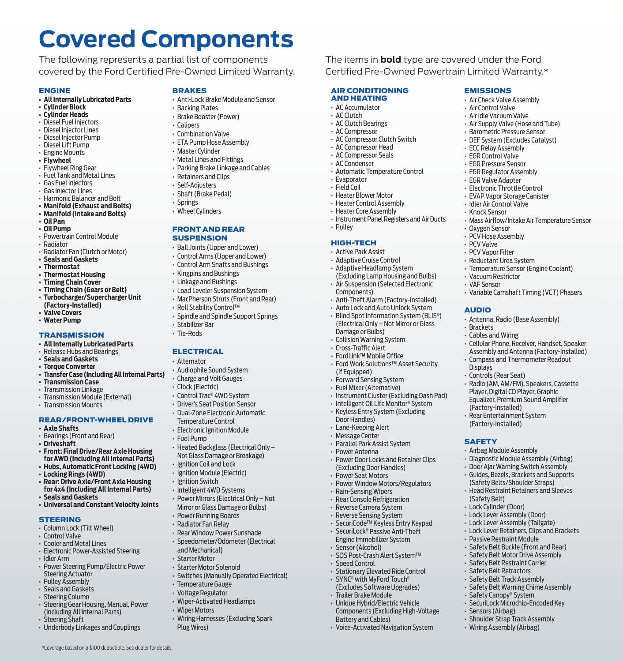# **Covered Components**

The following represents a partial list of components covered by the Ford Certified Pre-Owned Limited Warranty.

#### ENGINE

- **• All Internally Lubricated Parts**
- **• Cylinder Block**
- **• Cylinder Heads** • Diesel Fuel Injectors
- Diesel Injector Lines
- Diesel Injector Pump
- Diesel Lift Pump
- Engine Mounts
- **• Flywheel**
- Flywheel Ring Gear
- Fuel Tank and Metal Lines
- Gas Fuel Injectors
- Gas Injector Lines
- Harmonic Balancer and Bolt
- **• Manifold (Exhaust and Bolts) • Manifold (Intake and Bolts)**
- **• Oil Pan**
- **• Oil Pump**
- Powertrain Control Module
- Radiator
- Radiator Fan (Clutch or Motor)
- **• Seals and Gaskets**
- **• Thermostat**
- **• Thermostat Housing**
- **• Timing Chain Cover**
- **• Timing Chain (Gears or Belt)**
- **Turbocharger/Supercharger Unit (Factory-Installed)**
- 
- **• Valve Covers • Water Pump**

#### **TRANSMISSION**

- **• All Internally Lubricated Parts**
- Release Hubs and Bearings
- **• Seals and Gaskets**
- **• Torque Converter**
- **Transfer Case (Including All Internal Parts)**
- **• Transmission Case**
- Transmission Linkage
- Transmission Module (External)
- Transmission Mounts

#### REAR/FRONT-WHEEL DRIVE

- **• Axle Shafts**
- Bearings (Front and Rear)
- **• Driveshaft**
- **Front: Final Drive/Rear Axle Housing for AWD (Including All Internal Parts)**
- **Hubs, Automatic Front Locking (4WD) • Locking Rings (4WD)**
- **Rear: Drive Axle/Front Axle Housing for 4x4 (Including All Internal Parts) • Seals and Gaskets**
- **Universal and Constant Velocity Joints**

#### **STEERING**

- Column Lock (Tilt Wheel)
- Control Valve
- Cooler and Metal Lines
- Electronic Power-Assisted Steering • Idler Arm
- Power Steering Pump/Electric Power Steering Actuator
- Pulley Assembly
- Seals and Gaskets
- Steering Column
- Steering Gear Housing, Manual, Power (Including All Internal Parts)

\*Coverage based on a \$100 deductible. See dealer for details.

- Steering Shaft
- Underbody Linkages and Couplings

#### BRAKES

• Anti-Lock Brake Module and Sensor

AIR CONDITIONING AND HEATING • AC Accumulator • AC Clutch • AC Clutch Bearings • AC Compressor • AC Compressor Clutch Switch • AC Compressor Head • AC Compressor Seals • AC Condenser

EMISSIONS • Air Check Valve Assembly • Air Control Valve • Air Idle Vacuum Valve • Air Supply Valve (Hose and Tube) • Barometric Pressure Sensor • DEF System (Excludes Catalyst) • ECC Relay Assembly • EGR Control Valve • EGR Pressure Sensor • EGR Regulator Assembly • EGR Valve Adapter • Electronic Throttle Control • EVAP Vapor Storage Canister • Idler Air Control Valve • Knock Sensor

The items in **bold** type are covered under the Ford Certified Pre-Owned Powertrain Limited Warranty.\*

> • Oxygen Sensor • PCV Hose Assembly • PCV Valve • PCV Vapor Filter • Reductant Urea System • Temperature Sensor (Engine Coolant)

• Vacuum Restrictor • VAF Sensor

AUDIO

• Brackets • Cables and Wiring

Displays • Controls (Rear Seat)

**SAFETY** 

(Safety Belt) • Lock Cylinder (Door) • Lock Lever Assembly (Door) • Lock Lever Assembly (Tailgate) • Lock Lever Retainers, Clips and Brackets

• Sensors (Airbag) • Shoulder Strap Track Assembly • Wiring Assembly (Airbag)

(Factory-Installed) • Rear Entertainment System (Factory-Installed)

• Airbag Module Assembly • Diagnostic Module Assembly (Airbag) • Door Ajar Warning Switch Assembly • Guides, Bezels, Brackets and Supports (Safety Belts/Shoulder Straps) • Head Restraint Retainers and Sleeves

• Passive Restraint Module • Safety Belt Buckle (Front and Rear) • Safety Belt Motor Drive Assembly • Safety Belt Restraint Carrier • Safety Belt Retractors • Safety Belt Track Assembly • Safety Belt Warning Chime Assembly • Safety Canopy® System • SecuriLock Microchip-Encoded Key

• Mass Airflow/Intake Air Temperature Sensor

• Variable Camshaft Timing (VCT) Phasers

• Cellular Phone, Receiver, Handset, Speaker Assembly and Antenna (Factory-Installed) • Compass and Thermometer Readout

• Radio (AM, AM/FM), Speakers, Cassette Player, Digital CD Player, Graphic Equalizer, Premium Sound Amplifier

• Antenna, Radio (Base Assembly)

• Automatic Temperature Control

• Instrument Panel Registers and Air Ducts

• Anti-Theft Alarm (Factory-Installed) • Auto Lock and Auto Unlock System • Blind Spot Information System (BLIS®) (Electrical Only – Not Mirror or Glass

• Instrument Cluster (Excluding Dash Pad) • Intelligent Oil Life Monitor® System • Keyless Entry System (Excluding

• Power Door Locks and Retainer Clips (Excluding Door Handles) • Power Seat Motors

• Power Window Motors/Regulators • Rain-Sensing Wipers • Rear Console Refrigeration • Reverse Camera System • Reverse Sensing System • SecuriCode™ Keyless Entry Keypad • SecuriLock® Passive Anti-Theft Engine Immobilizer System Sensor (Alcohol) • SOS Post-Crash Alert System™

• Stationary Elevated Ride Control • SYNC® with MyFord Touch® (Excludes Software Upgrades) • Trailer Brake Module • Unique Hybrid/Electric Vehicle Components (Excluding High-Voltage

• Evaporator • Field Coil • Heater Blower Motor • Heater Control Assembly • Heater Core Assembly

• Pulley HIGH-TECH • Active Park Assist • Adaptive Cruise Control • Adaptive Headlamp System (Excluding Lamp Housing and Bulbs) • Air Suspension (Selected Electronic

Components)

Damage or Bulbs) • Collision Warning System • Cross-Traffic Alert • FordLink™ Mobile Office • Ford Work Solutions™ Asset Security

(If Equipped) • Forward Sensing System • Fuel Mixer (Alternative)

Door Handles) • Lane-Keeping Alert • Message Center • Parallel Park Assist System • Power Antenna

• Speed Control

Battery and Cables) • Voice-Activated Navigation System

- Backing Plates
- Brake Booster (Power)
- Calipers
- Combination Valve
- ETA Pump Hose Assembly
- Master Cylinder
- Metal Lines and Fittings
- Parking Brake Linkage and Cables
- Retainers and Clips
- Self-Adjusters
- Shaft (Brake Pedal)
- Springs
- Wheel Cylinders

#### FRONT AND REAR **SUSPENSION**

- Ball Joints (Upper and Lower)
- Control Arms (Upper and Lower)
- 
- Control Arm Shafts and Bushings
- Kingpins and Bushings
- Linkage and Bushings
- Load Leveler Suspension System
- MacPherson Struts (Front and Rear)
- Roll Stability Control™
- Spindle and Spindle Support Springs
- Stabilizer Bar
- Tie-Rods

#### **ELECTRICAL**

- Alternator
- 
- Audiophile Sound System
- Charge and Volt Gauges
- Clock (Electric)
- Control Trac® 4WD System
- Driver's Seat Position Sensor
- Dual-Zone Electronic Automatic Temperature Control
- Electronic Ignition Module
- Fuel Pump

• Ignition Coil and Lock • Ignition Module (Electric) • Ignition Switch • Intelligent 4WD Systems • Power Mirrors (Electrical Only – Not Mirror or Glass Damage or Bulbs) • Power Running Boards • Radiator Fan Relay • Rear Window Power Sunshade • Speedometer/Odometer (Electrical

and Mechanical) • Starter Motor • Starter Motor Solenoid

• Temperature Gauge • Voltage Regulator • Wiper-Activated Headlamps

• Wiper Motors

Plug Wires)

• Heated Backglass (Electrical Only – Not Glass Damage or Breakage)

• Switches (Manually Operated Electrical)

• Wiring Harnesses (Excluding Spark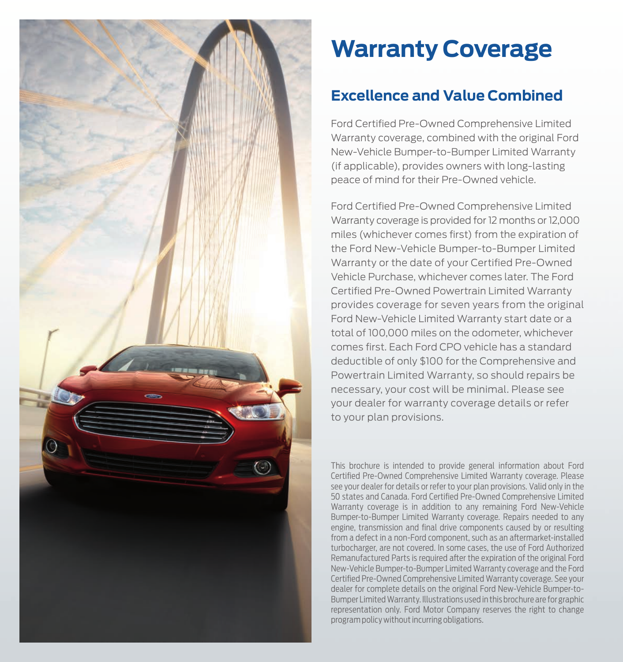

# **Warranty Coverage**

## **Excellence and Value Combined**

Ford Certified Pre-Owned Comprehensive Limited Warranty coverage, combined with the original Ford New-Vehicle Bumper-to-Bumper Limited Warranty (if applicable), provides owners with long-lasting peace of mind for their Pre-Owned vehicle.

Ford Certified Pre-Owned Comprehensive Limited Warranty coverage is provided for 12 months or 12,000 miles (whichever comes first) from the expiration of the Ford New-Vehicle Bumper-to-Bumper Limited Warranty or the date of your Certified Pre-Owned Vehicle Purchase, whichever comes later. The Ford Certified Pre-Owned Powertrain Limited Warranty provides coverage for seven years from the original Ford New-Vehicle Limited Warranty start date or a total of 100,000 miles on the odometer, whichever comes first. Each Ford CPO vehicle has a standard deductible of only \$100 for the Comprehensive and Powertrain Limited Warranty, so should repairs be necessary, your cost will be minimal. Please see your dealer for warranty coverage details or refer to your plan provisions.

This brochure is intended to provide general information about Ford Certified Pre-Owned Comprehensive Limited Warranty coverage. Please see your dealer for details or refer to your plan provisions. Valid only in the 50 states and Canada. Ford Certified Pre-Owned Comprehensive Limited Warranty coverage is in addition to any remaining Ford New-Vehicle Bumper-to-Bumper Limited Warranty coverage. Repairs needed to any engine, transmission and final drive components caused by or resulting from a defect in a non-Ford component, such as an aftermarket-installed turbocharger, are not covered. In some cases, the use of Ford Authorized Remanufactured Parts is required after the expiration of the original Ford New-Vehicle Bumper-to-Bumper Limited Warranty coverage and the Ford Certified Pre-Owned Comprehensive Limited Warranty coverage. See your dealer for complete details on the original Ford New-Vehicle Bumper-to-Bumper Limited Warranty. Illustrations used in this brochure are for graphic representation only. Ford Motor Company reserves the right to change program policy without incurring obligations.